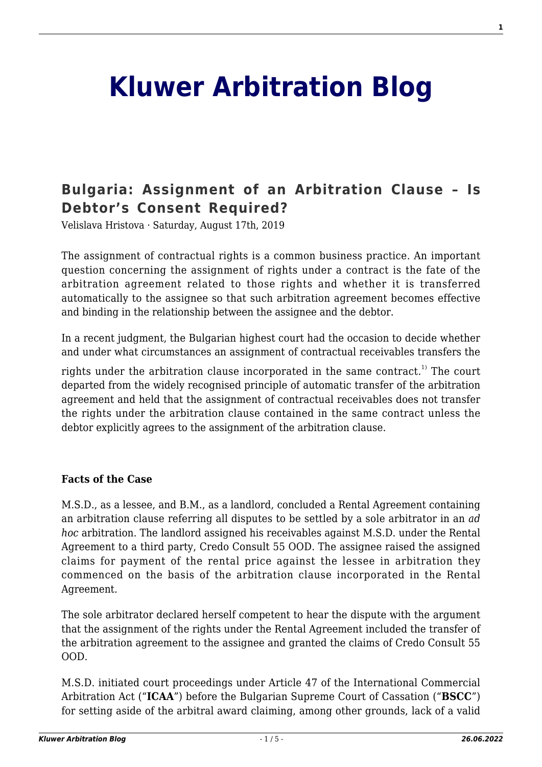# **[Kluwer Arbitration Blog](http://arbitrationblog.kluwerarbitration.com/)**

# **[Bulgaria: Assignment of an Arbitration Clause – Is](http://arbitrationblog.kluwerarbitration.com/2019/08/17/bulgaria-assignment-of-an-arbitration-clause-is-debtors-consent-required/) [Debtor's Consent Required?](http://arbitrationblog.kluwerarbitration.com/2019/08/17/bulgaria-assignment-of-an-arbitration-clause-is-debtors-consent-required/)**

Velislava Hristova · Saturday, August 17th, 2019

The assignment of contractual rights is a common business practice. An important question concerning the assignment of rights under a contract is the fate of the arbitration agreement related to those rights and whether it is transferred automatically to the assignee so that such arbitration agreement becomes effective and binding in the relationship between the assignee and the debtor.

In a recent judgment, the Bulgarian highest court had the occasion to decide whether and under what circumstances an assignment of contractual receivables transfers the

rights under the arbitration clause incorporated in the same contract.<sup>1)</sup> The court departed from the widely recognised principle of automatic transfer of the arbitration agreement and held that the assignment of contractual receivables does not transfer the rights under the arbitration clause contained in the same contract unless the debtor explicitly agrees to the assignment of the arbitration clause.

#### **Facts of the Case**

M.S.D., as a lessee, and B.M., as a landlord, concluded a Rental Agreement containing an arbitration clause referring all disputes to be settled by a sole arbitrator in an *ad hoc* arbitration. The landlord assigned his receivables against M.S.D. under the Rental Agreement to a third party, Credo Consult 55 OOD. The assignee raised the assigned claims for payment of the rental price against the lessee in arbitration they commenced on the basis of the arbitration clause incorporated in the Rental Agreement.

The sole arbitrator declared herself competent to hear the dispute with the argument that the assignment of the rights under the Rental Agreement included the transfer of the arbitration agreement to the assignee and granted the claims of Credo Consult 55 OOD.

M.S.D. initiated court proceedings under Article 47 of the International Commercial Arbitration Act ("**ICAA**") before the Bulgarian Supreme Court of Cassation ("**BSCC**") for setting aside of the arbitral award claiming, among other grounds, lack of a valid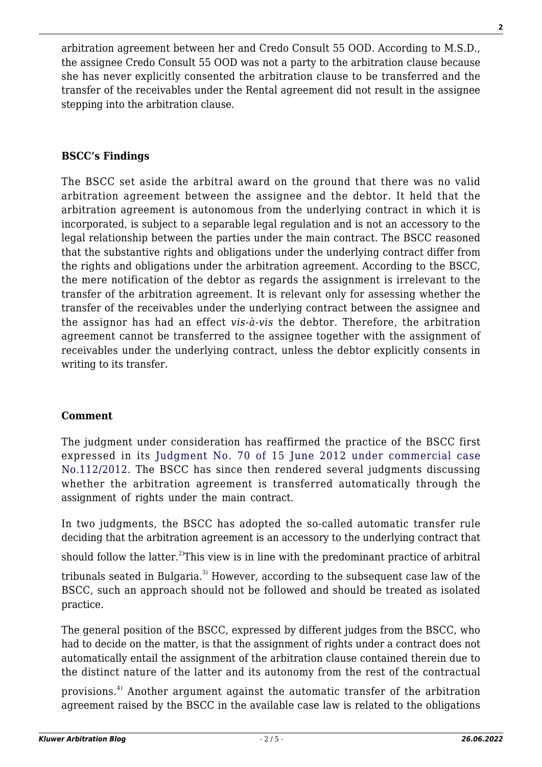arbitration agreement between her and Credo Consult 55 OOD. According to M.S.D., the assignee Credo Consult 55 OOD was not a party to the arbitration clause because she has never explicitly consented the arbitration clause to be transferred and the transfer of the receivables under the Rental agreement did not result in the assignee stepping into the arbitration clause.

## **BSCC's Findings**

The BSCC set aside the arbitral award on the ground that there was no valid arbitration agreement between the assignee and the debtor. It held that the arbitration agreement is autonomous from the underlying contract in which it is incorporated, is subject to a separable legal regulation and is not an accessory to the legal relationship between the parties under the main contract. The BSCC reasoned that the substantive rights and obligations under the underlying contract differ from the rights and obligations under the arbitration agreement. According to the BSCC, the mere notification of the debtor as regards the assignment is irrelevant to the transfer of the arbitration agreement. It is relevant only for assessing whether the transfer of the receivables under the underlying contract between the assignee and the assignor has had an effect *vis-à-vis* the debtor. Therefore, the arbitration agreement cannot be transferred to the assignee together with the assignment of receivables under the underlying contract, unless the debtor explicitly consents in writing to its transfer.

## **Comment**

The judgment under consideration has reaffirmed the practice of the BSCC first expressed in its [Judgment No. 70 of 15 June 2012 under commercial case](http://domino.vks.bg/bcap/scc/WebData.nsf/e0fe6ac15d4ddf10c225768000409ffe/21721c4b27d7d8dbc22579a500422d35?OpenDocument) [No.112/2012](http://domino.vks.bg/bcap/scc/WebData.nsf/e0fe6ac15d4ddf10c225768000409ffe/21721c4b27d7d8dbc22579a500422d35?OpenDocument). The BSCC has since then rendered several judgments discussing whether the arbitration agreement is transferred automatically through the assignment of rights under the main contract.

In two judgments, the BSCC has adopted the so-called automatic transfer rule deciding that the arbitration agreement is an accessory to the underlying contract that

should follow the latter.<sup>2)</sup>This view is in line with the predominant practice of arbitral

tribunals seated in Bulgaria.<sup>3)</sup> However, according to the subsequent case law of the BSCC, such an approach should not be followed and should be treated as isolated practice.

The general position of the BSCC, expressed by different judges from the BSCC, who had to decide on the matter, is that the assignment of rights under a contract does not automatically entail the assignment of the arbitration clause contained therein due to the distinct nature of the latter and its autonomy from the rest of the contractual

provisions.<sup>4)</sup> Another argument against the automatic transfer of the arbitration agreement raised by the BSCC in the available case law is related to the obligations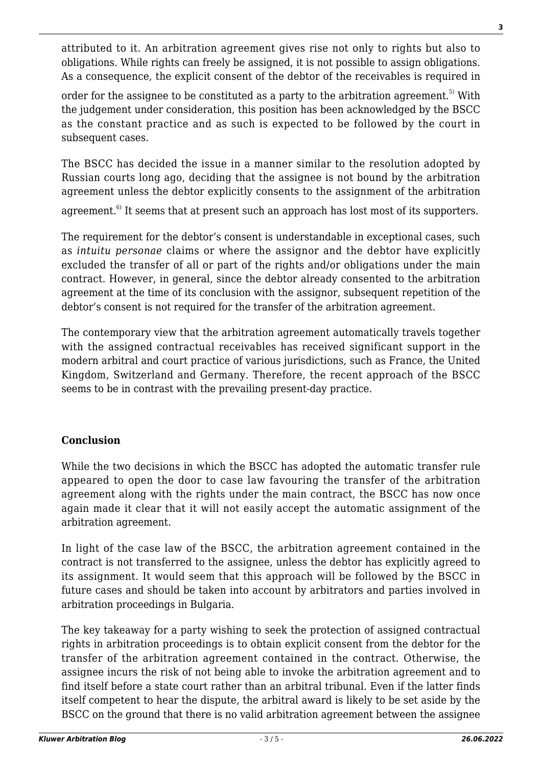attributed to it. An arbitration agreement gives rise not only to rights but also to obligations. While rights can freely be assigned, it is not possible to assign obligations. As a consequence, the explicit consent of the debtor of the receivables is required in

order for the assignee to be constituted as a party to the arbitration agreement.<sup>5)</sup> With the judgement under consideration, this position has been acknowledged by the BSCC as the constant practice and as such is expected to be followed by the court in subsequent cases.

The BSCC has decided the issue in a manner similar to the resolution adopted by Russian courts long ago, deciding that the assignee is not bound by the arbitration agreement unless the debtor explicitly consents to the assignment of the arbitration agreement.<sup>6)</sup> It seems that at present such an approach has lost most of its supporters.

The requirement for the debtor's consent is understandable in exceptional cases, such as *intuitu personae* claims or where the assignor and the debtor have explicitly excluded the transfer of all or part of the rights and/or obligations under the main contract. However, in general, since the debtor already consented to the arbitration agreement at the time of its conclusion with the assignor, subsequent repetition of the debtor's consent is not required for the transfer of the arbitration agreement.

The contemporary view that the arbitration agreement automatically travels together with the assigned contractual receivables has received significant support in the modern arbitral and court practice of various jurisdictions, such as France, the United Kingdom, Switzerland and Germany. Therefore, the recent approach of the BSCC seems to be in contrast with the prevailing present-day practice.

# **Conclusion**

While the two decisions in which the BSCC has adopted the automatic transfer rule appeared to open the door to case law favouring the transfer of the arbitration agreement along with the rights under the main contract, the BSCC has now once again made it clear that it will not easily accept the automatic assignment of the arbitration agreement.

In light of the case law of the BSCC, the arbitration agreement contained in the contract is not transferred to the assignee, unless the debtor has explicitly agreed to its assignment. It would seem that this approach will be followed by the BSCC in future cases and should be taken into account by arbitrators and parties involved in arbitration proceedings in Bulgaria.

The key takeaway for a party wishing to seek the protection of assigned contractual rights in arbitration proceedings is to obtain explicit consent from the debtor for the transfer of the arbitration agreement contained in the contract. Otherwise, the assignee incurs the risk of not being able to invoke the arbitration agreement and to find itself before a state court rather than an arbitral tribunal. Even if the latter finds itself competent to hear the dispute, the arbitral award is likely to be set aside by the BSCC on the ground that there is no valid arbitration agreement between the assignee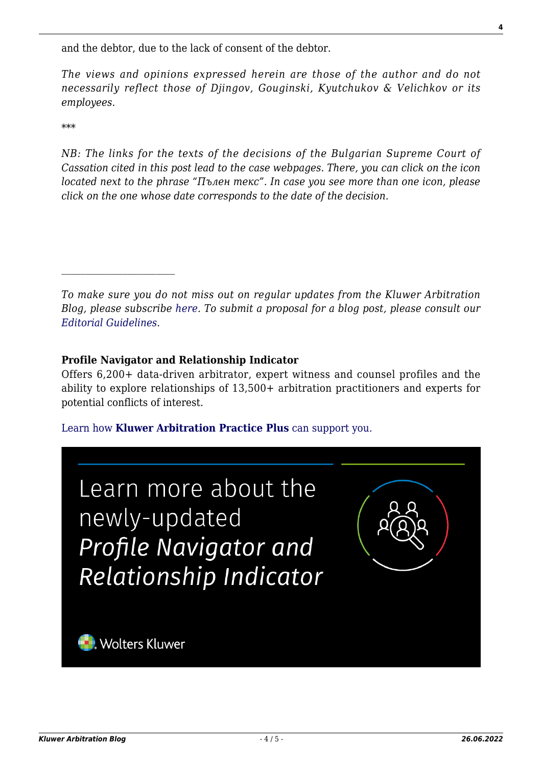and the debtor, due to the lack of consent of the debtor.

*The views and opinions expressed herein are those of the author and do not necessarily reflect those of Djingov, Gouginski, Kyutchukov & Velichkov or its employees.*

\*\*\*

*NB: The links for the texts of the decisions of the Bulgarian Supreme Court of Cassation cited in this post lead to the case webpages. There, you can click on the icon located next to the phrase "Пълен текс". In case you see more than one icon, please click on the one whose date corresponds to the date of the decision.*

*To make sure you do not miss out on regular updates from the Kluwer Arbitration Blog, please subscribe [here](http://arbitrationblog.kluwerarbitration.com/newsletter/). To submit a proposal for a blog post, please consult our [Editorial Guidelines.](http://arbitrationblog.kluwerarbitration.com/editorial-guidelines/)*

#### **Profile Navigator and Relationship Indicator**

Offers 6,200+ data-driven arbitrator, expert witness and counsel profiles and the ability to explore relationships of 13,500+ arbitration practitioners and experts for potential conflicts of interest.

#### [Learn how](https://www.wolterskluwer.com/en/solutions/kluwerarbitration/practiceplus?utm_source=arbitrationblog&utm_medium=articleCTA&utm_campaign=article-banner) **[Kluwer Arbitration Practice Plus](https://www.wolterskluwer.com/en/solutions/kluwerarbitration/practiceplus?utm_source=arbitrationblog&utm_medium=articleCTA&utm_campaign=article-banner)** [can support you.](https://www.wolterskluwer.com/en/solutions/kluwerarbitration/practiceplus?utm_source=arbitrationblog&utm_medium=articleCTA&utm_campaign=article-banner)